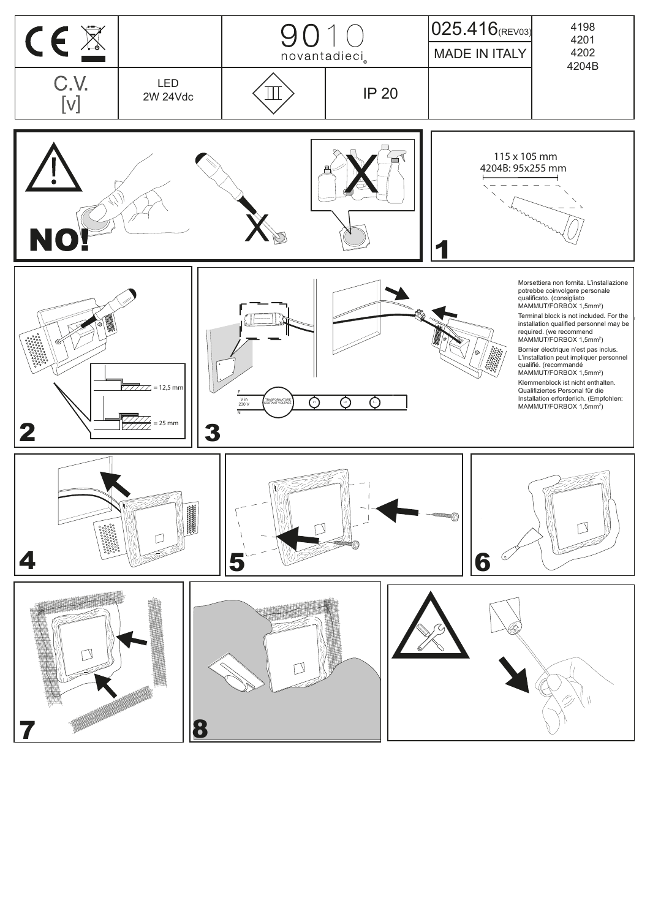